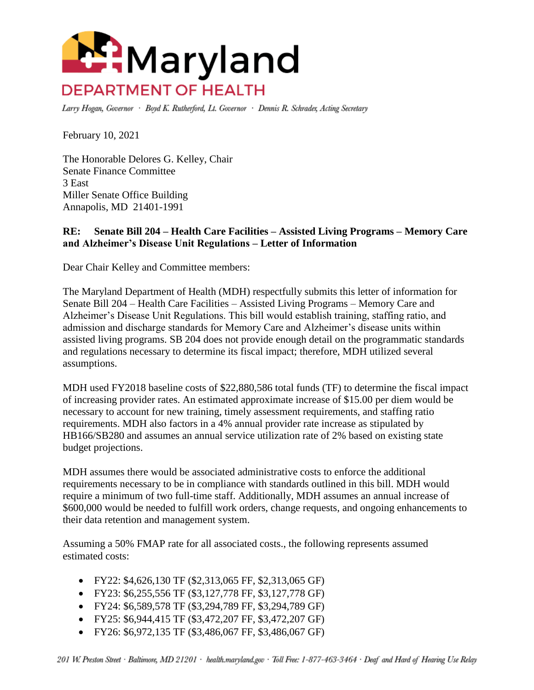

Larry Hogan, Governor · Boyd K. Rutherford, Lt. Governor · Dennis R. Schrader, Acting Secretary

February 10, 2021

The Honorable Delores G. Kelley, Chair Senate Finance Committee 3 East Miller Senate Office Building Annapolis, MD 21401-1991

## **RE: Senate Bill 204 – Health Care Facilities – Assisted Living Programs – Memory Care and Alzheimer's Disease Unit Regulations – Letter of Information**

Dear Chair Kelley and Committee members:

The Maryland Department of Health (MDH) respectfully submits this letter of information for Senate Bill 204 – Health Care Facilities – Assisted Living Programs – Memory Care and Alzheimer's Disease Unit Regulations. This bill would establish training, staffing ratio, and admission and discharge standards for Memory Care and Alzheimer's disease units within assisted living programs. SB 204 does not provide enough detail on the programmatic standards and regulations necessary to determine its fiscal impact; therefore, MDH utilized several assumptions.

MDH used FY2018 baseline costs of \$22,880,586 total funds (TF) to determine the fiscal impact of increasing provider rates. An estimated approximate increase of \$15.00 per diem would be necessary to account for new training, timely assessment requirements, and staffing ratio requirements. MDH also factors in a 4% annual provider rate increase as stipulated by HB166/SB280 and assumes an annual service utilization rate of 2% based on existing state budget projections.

MDH assumes there would be associated administrative costs to enforce the additional requirements necessary to be in compliance with standards outlined in this bill. MDH would require a minimum of two full-time staff. Additionally, MDH assumes an annual increase of \$600,000 would be needed to fulfill work orders, change requests, and ongoing enhancements to their data retention and management system.

Assuming a 50% FMAP rate for all associated costs., the following represents assumed estimated costs:

- FY22: \$4,626,130 TF (\$2,313,065 FF, \$2,313,065 GF)
- FY23: \$6,255,556 TF (\$3,127,778 FF, \$3,127,778 GF)
- FY24: \$6,589,578 TF (\$3,294,789 FF, \$3,294,789 GF)
- FY25: \$6,944,415 TF (\$3,472,207 FF, \$3,472,207 GF)
- FY26: \$6,972,135 TF (\$3,486,067 FF, \$3,486,067 GF)